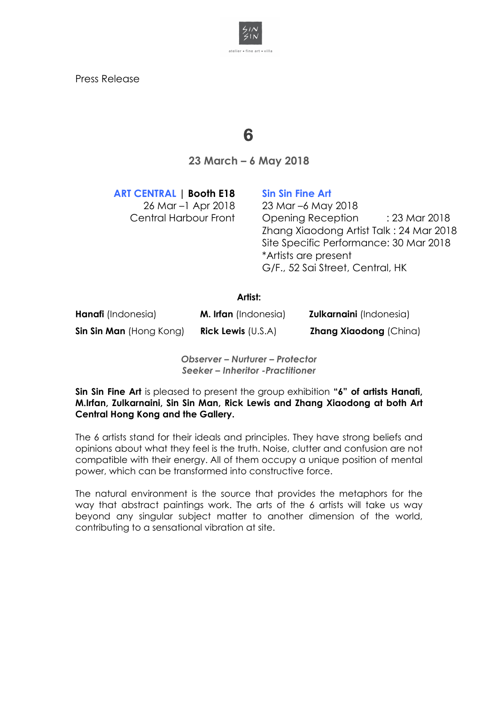

Press Release

# **6**

**23 March – 6 May 2018**

# **ART CENTRAL | Booth E18**

26 Mar –1 Apr 2018 Central Harbour Front

# **Sin Sin Fine Art**

23 Mar –6 May 2018 Opening Reception : 23 Mar 2018 Zhang Xiaodong Artist Talk : 24 Mar 2018 Site Specific Performance: 30 Mar 2018 \*Artists are present G/F., 52 Sai Street, Central, HK

# **Artist:**

| <b>Hanafi</b> (Indonesia)      | <b>M. Irfan</b> (Indonesia) | <b>Zulkarnaini</b> (Indonesia) |
|--------------------------------|-----------------------------|--------------------------------|
| <b>Sin Sin Man</b> (Hong Kong) | <b>Rick Lewis</b> $(U.S.A)$ | <b>Zhang Xiaodong (China)</b>  |

*Observer – Nurturer – Protector Seeker – Inheritor -Practitioner*

**Sin Sin Fine Art** is pleased to present the group exhibition **"6" of artists Hanafi, M.Irfan, Zulkarnaini, Sin Sin Man, Rick Lewis and Zhang Xiaodong at both Art Central Hong Kong and the Gallery.**

The 6 artists stand for their ideals and principles. They have strong beliefs and opinions about what they feel is the truth. Noise, clutter and confusion are not compatible with their energy. All of them occupy a unique position of mental power, which can be transformed into constructive force.

The natural environment is the source that provides the metaphors for the way that abstract paintings work. The arts of the 6 artists will take us way beyond any singular subject matter to another dimension of the world, contributing to a sensational vibration at site.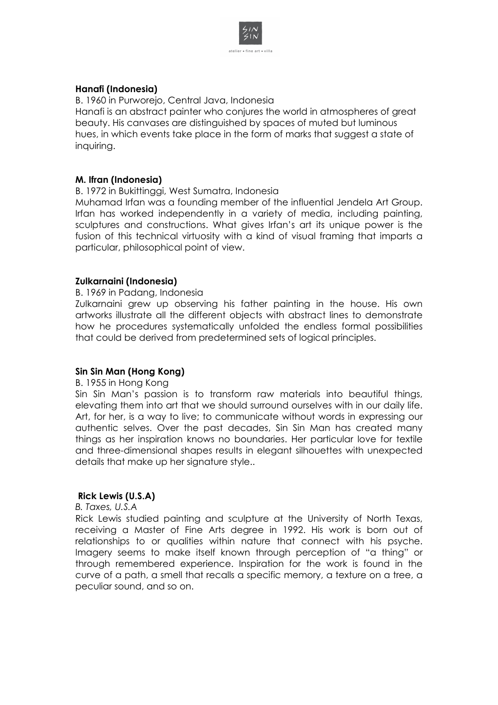

### **Hanafi (Indonesia)**

B. 1960 in Purworejo, Central Java, Indonesia

Hanafi is an abstract painter who conjures the world in atmospheres of great beauty. His canvases are distinguished by spaces of muted but luminous hues, in which events take place in the form of marks that suggest a state of inquiring.

#### **M. Ifran (Indonesia)**

B. 1972 in Bukittinggi, West Sumatra, Indonesia

Muhamad Irfan was a founding member of the influential Jendela Art Group. Irfan has worked independently in a variety of media, including painting, sculptures and constructions. What gives Irfan's art its unique power is the fusion of this technical virtuosity with a kind of visual framing that imparts a particular, philosophical point of view.

#### **Zulkarnaini (Indonesia)**

#### B. 1969 in Padang, Indonesia

Zulkarnaini grew up observing his father painting in the house. His own artworks illustrate all the different objects with abstract lines to demonstrate how he procedures systematically unfolded the endless formal possibilities that could be derived from predetermined sets of logical principles.

#### **Sin Sin Man (Hong Kong)**

#### B. 1955 in Hong Kong

Sin Sin Man's passion is to transform raw materials into beautiful things, elevating them into art that we should surround ourselves with in our daily life. Art, for her, is a way to live; to communicate without words in expressing our authentic selves. Over the past decades, Sin Sin Man has created many things as her inspiration knows no boundaries. Her particular love for textile and three-dimensional shapes results in elegant silhouettes with unexpected details that make up her signature style..

#### **Rick Lewis (U.S.A)**

#### *B. Taxes, U.S.A*

Rick Lewis studied painting and sculpture at the University of North Texas, receiving a Master of Fine Arts degree in 1992. His work is born out of relationships to or qualities within nature that connect with his psyche. Imagery seems to make itself known through perception of "a thing" or through remembered experience. Inspiration for the work is found in the curve of a path, a smell that recalls a specific memory, a texture on a tree, a peculiar sound, and so on.